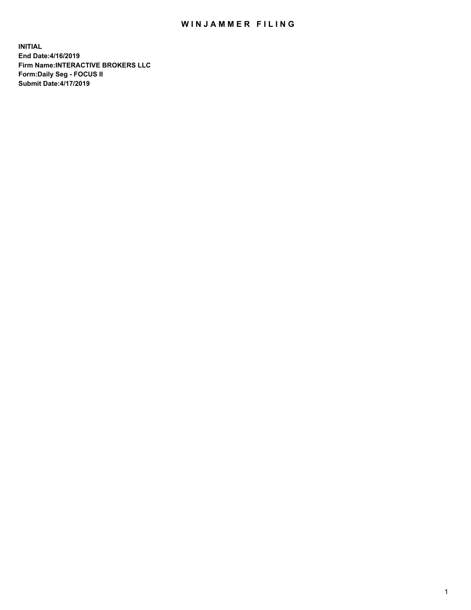## WIN JAMMER FILING

**INITIAL End Date:4/16/2019 Firm Name:INTERACTIVE BROKERS LLC Form:Daily Seg - FOCUS II Submit Date:4/17/2019**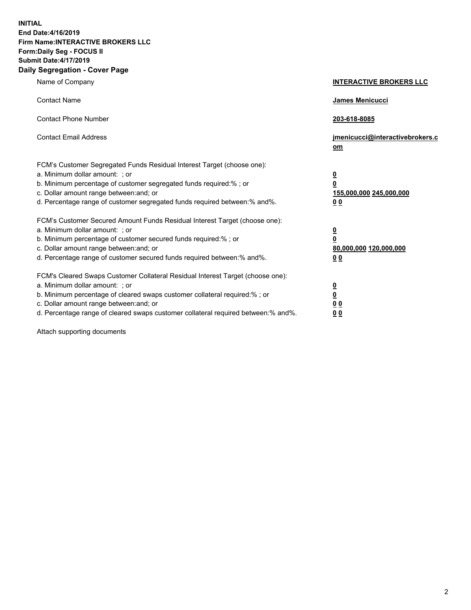**INITIAL End Date:4/16/2019 Firm Name:INTERACTIVE BROKERS LLC Form:Daily Seg - FOCUS II Submit Date:4/17/2019 Daily Segregation - Cover Page**

| Name of Company                                                                                                                                                                                                                                                                                                                | <b>INTERACTIVE BROKERS LLC</b>                                                                  |
|--------------------------------------------------------------------------------------------------------------------------------------------------------------------------------------------------------------------------------------------------------------------------------------------------------------------------------|-------------------------------------------------------------------------------------------------|
| <b>Contact Name</b>                                                                                                                                                                                                                                                                                                            | James Menicucci                                                                                 |
| <b>Contact Phone Number</b>                                                                                                                                                                                                                                                                                                    | 203-618-8085                                                                                    |
| <b>Contact Email Address</b>                                                                                                                                                                                                                                                                                                   | jmenicucci@interactivebrokers.c<br>om                                                           |
| FCM's Customer Segregated Funds Residual Interest Target (choose one):<br>a. Minimum dollar amount: ; or<br>b. Minimum percentage of customer segregated funds required:% ; or<br>c. Dollar amount range between: and; or<br>d. Percentage range of customer segregated funds required between:% and%.                         | $\overline{\mathbf{0}}$<br>$\overline{\mathbf{0}}$<br>155,000,000 245,000,000<br>0 <sub>0</sub> |
| FCM's Customer Secured Amount Funds Residual Interest Target (choose one):<br>a. Minimum dollar amount: ; or<br>b. Minimum percentage of customer secured funds required:% ; or<br>c. Dollar amount range between: and; or<br>d. Percentage range of customer secured funds required between:% and%.                           | $\overline{\mathbf{0}}$<br>0<br>80,000,000 120,000,000<br>0 <sub>0</sub>                        |
| FCM's Cleared Swaps Customer Collateral Residual Interest Target (choose one):<br>a. Minimum dollar amount: ; or<br>b. Minimum percentage of cleared swaps customer collateral required:% ; or<br>c. Dollar amount range between: and; or<br>d. Percentage range of cleared swaps customer collateral required between:% and%. | $\overline{\mathbf{0}}$<br><u>0</u><br>$\underline{0}$ $\underline{0}$<br>00                    |

Attach supporting documents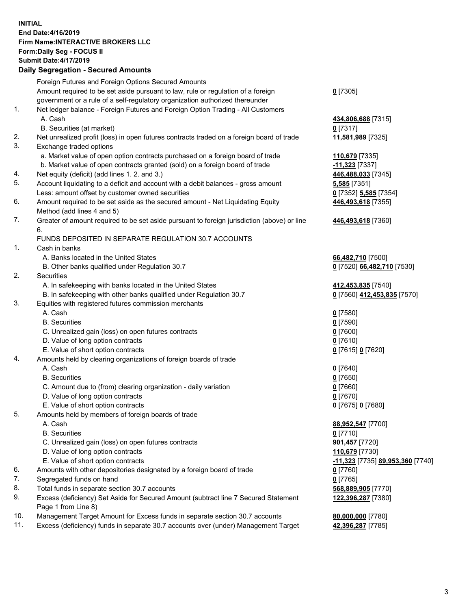## **INITIAL End Date:4/16/2019 Firm Name:INTERACTIVE BROKERS LLC Form:Daily Seg - FOCUS II Submit Date:4/17/2019 Daily Segregation - Secured Amounts**

|     | Daily Segregation - Secured Amounts                                                               |                                  |
|-----|---------------------------------------------------------------------------------------------------|----------------------------------|
|     | Foreign Futures and Foreign Options Secured Amounts                                               |                                  |
|     | Amount required to be set aside pursuant to law, rule or regulation of a foreign                  | $0$ [7305]                       |
|     | government or a rule of a self-regulatory organization authorized thereunder                      |                                  |
| 1.  | Net ledger balance - Foreign Futures and Foreign Option Trading - All Customers                   |                                  |
|     | A. Cash                                                                                           | 434,806,688 [7315]               |
|     | B. Securities (at market)                                                                         | $0$ [7317]                       |
| 2.  | Net unrealized profit (loss) in open futures contracts traded on a foreign board of trade         | 11,581,989 [7325]                |
| 3.  | Exchange traded options                                                                           |                                  |
|     | a. Market value of open option contracts purchased on a foreign board of trade                    | 110,679 [7335]                   |
|     | b. Market value of open contracts granted (sold) on a foreign board of trade                      | $-11,323$ [7337]                 |
| 4.  | Net equity (deficit) (add lines 1.2. and 3.)                                                      | 446,488,033 [7345]               |
| 5.  | Account liquidating to a deficit and account with a debit balances - gross amount                 | 5,585 [7351]                     |
|     | Less: amount offset by customer owned securities                                                  | 0 [7352] 5,585 [7354]            |
| 6.  | Amount required to be set aside as the secured amount - Net Liquidating Equity                    | 446,493,618 [7355]               |
|     | Method (add lines 4 and 5)                                                                        |                                  |
| 7.  | Greater of amount required to be set aside pursuant to foreign jurisdiction (above) or line<br>6. | 446,493,618 [7360]               |
|     | FUNDS DEPOSITED IN SEPARATE REGULATION 30.7 ACCOUNTS                                              |                                  |
| 1.  | Cash in banks                                                                                     |                                  |
|     | A. Banks located in the United States                                                             | 66,482,710 [7500]                |
|     | B. Other banks qualified under Regulation 30.7                                                    | 0 [7520] 66,482,710 [7530]       |
| 2.  | Securities                                                                                        |                                  |
|     | A. In safekeeping with banks located in the United States                                         | 412,453,835 [7540]               |
|     | B. In safekeeping with other banks qualified under Regulation 30.7                                | 0 [7560] 412,453,835 [7570]      |
| 3.  | Equities with registered futures commission merchants                                             |                                  |
|     | A. Cash                                                                                           | $0$ [7580]                       |
|     | <b>B.</b> Securities                                                                              | $0$ [7590]                       |
|     | C. Unrealized gain (loss) on open futures contracts                                               | $0$ [7600]                       |
|     | D. Value of long option contracts                                                                 | $0$ [7610]                       |
|     | E. Value of short option contracts                                                                | 0 [7615] 0 [7620]                |
| 4.  | Amounts held by clearing organizations of foreign boards of trade                                 |                                  |
|     | A. Cash                                                                                           | $0$ [7640]                       |
|     | <b>B.</b> Securities                                                                              | $0$ [7650]                       |
|     | C. Amount due to (from) clearing organization - daily variation                                   | $0$ [7660]                       |
|     | D. Value of long option contracts                                                                 | $0$ [7670]                       |
|     | E. Value of short option contracts                                                                | 0 [7675] 0 [7680]                |
| 5.  | Amounts held by members of foreign boards of trade                                                |                                  |
|     | A. Cash                                                                                           | 88,952,547 [7700]                |
|     | <b>B.</b> Securities                                                                              | $0$ [7710]                       |
|     | C. Unrealized gain (loss) on open futures contracts                                               | 901,457 [7720]                   |
|     | D. Value of long option contracts                                                                 | 110,679 [7730]                   |
|     | E. Value of short option contracts                                                                | -11,323 [7735] 89,953,360 [7740] |
| 6.  | Amounts with other depositories designated by a foreign board of trade                            | 0 [7760]                         |
| 7.  | Segregated funds on hand                                                                          | $0$ [7765]                       |
| 8.  | Total funds in separate section 30.7 accounts                                                     | 568,889,905 [7770]               |
| 9.  | Excess (deficiency) Set Aside for Secured Amount (subtract line 7 Secured Statement               | 122,396,287 [7380]               |
|     | Page 1 from Line 8)                                                                               |                                  |
| 10. | Management Target Amount for Excess funds in separate section 30.7 accounts                       | 80,000,000 [7780]                |
| 11. | Excess (deficiency) funds in separate 30.7 accounts over (under) Management Target                | 42,396,287 [7785]                |
|     |                                                                                                   |                                  |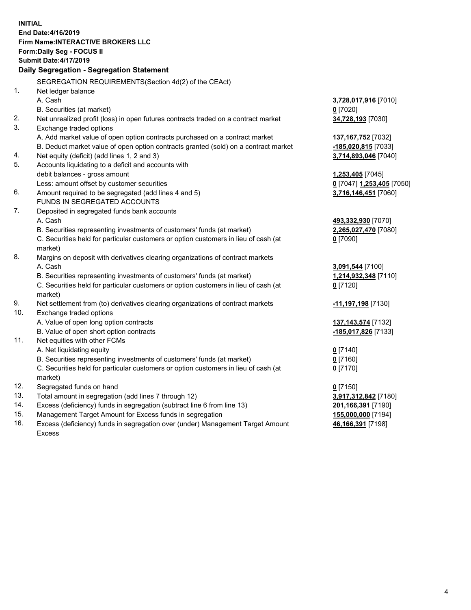**INITIAL End Date:4/16/2019 Firm Name:INTERACTIVE BROKERS LLC Form:Daily Seg - FOCUS II Submit Date:4/17/2019 Daily Segregation - Segregation Statement** SEGREGATION REQUIREMENTS(Section 4d(2) of the CEAct) 1. Net ledger balance A. Cash **3,728,017,916** [7010] B. Securities (at market) **0** [7020] 2. Net unrealized profit (loss) in open futures contracts traded on a contract market **34,728,193** [7030] 3. Exchange traded options A. Add market value of open option contracts purchased on a contract market **137,167,752** [7032] B. Deduct market value of open option contracts granted (sold) on a contract market **-185,020,815** [7033] 4. Net equity (deficit) (add lines 1, 2 and 3) **3,714,893,046** [7040] 5. Accounts liquidating to a deficit and accounts with debit balances - gross amount **1,253,405** [7045] Less: amount offset by customer securities **0** [7047] **1,253,405** [7050] 6. Amount required to be segregated (add lines 4 and 5) **3,716,146,451** [7060] FUNDS IN SEGREGATED ACCOUNTS 7. Deposited in segregated funds bank accounts A. Cash **493,332,930** [7070] B. Securities representing investments of customers' funds (at market) **2,265,027,470** [7080] C. Securities held for particular customers or option customers in lieu of cash (at market) **0** [7090] 8. Margins on deposit with derivatives clearing organizations of contract markets A. Cash **3,091,544** [7100] B. Securities representing investments of customers' funds (at market) **1,214,932,348** [7110] C. Securities held for particular customers or option customers in lieu of cash (at market) **0** [7120] 9. Net settlement from (to) derivatives clearing organizations of contract markets **-11,197,198** [7130] 10. Exchange traded options A. Value of open long option contracts **137,143,574** [7132] B. Value of open short option contracts **-185,017,826** [7133] 11. Net equities with other FCMs A. Net liquidating equity **0** [7140] B. Securities representing investments of customers' funds (at market) **0** [7160] C. Securities held for particular customers or option customers in lieu of cash (at market) **0** [7170] 12. Segregated funds on hand **0** [7150] 13. Total amount in segregation (add lines 7 through 12) **3,917,312,842** [7180] 14. Excess (deficiency) funds in segregation (subtract line 6 from line 13) **201,166,391** [7190] 15. Management Target Amount for Excess funds in segregation **155,000,000** [7194] 16. Excess (deficiency) funds in segregation over (under) Management Target Amount **46,166,391** [7198]

Excess